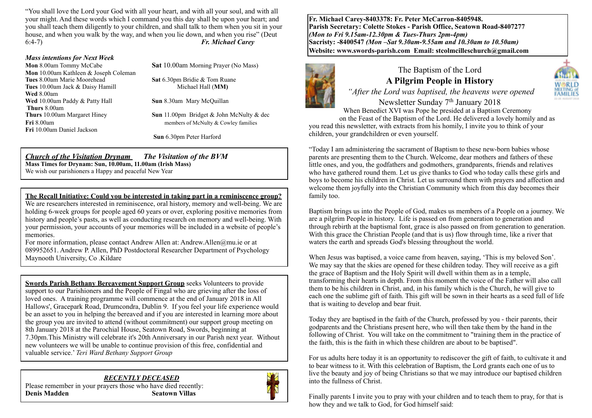"You shall love the Lord your God with all your heart, and with all your soul, and with all your might. And these words which I command you this day shall be upon your heart; and you shall teach them diligently to your children, and shall talk to them when you sit in your house, and when you walk by the way, and when you lie down, and when you rise" (Deut 6:4-7) *Fr. Michael Carey*

#### *Mass intentions for Next Week*

**Mon** 10.00am Kathleen & Joseph Coleman **Tues** 8.00am Marie Moorehead **Sat** 6.30pm Bridie & Tom Ruane **Tues** 10.00am Jack & Daisy Hamill Michael Hall (**MM**) **Wed** 8.00am **Wed** 10.00am Paddy & Patty Hall **Sun** 8.30am Mary McQuillan **Thurs** 8.00am<br>**Thurs** 10.00am Margaret Hinev **Fri** 10.00am Daniel Jackson

**Mon** 8.00am Tommy McCabe**Sat** 10.00am Morning Prayer (No Mass)

**Sun** 11.00pm Bridget & John McNulty & dec **Fri** 8.00am **members** of McNulty & Cowley families

**Sun** 6.30pm Peter Harford

### *Church of the Visitation Drynam**The Visitation of the BVM*

**Mass Times for Drynam: Sun, 10.00am, 11.00am (Irish Mass)** We wish our parishioners a Happy and peaceful New Year

#### **The Recall Initiative: Could you be interested in taking part in a reminiscence group?**

We are researchers interested in reminiscence, oral history, memory and well-being. We are holding 6-week groups for people aged 60 years or over, exploring positive memories from history and people's pasts, as well as conducting research on memory and well-being. With your permission, your accounts of your memories will be included in a website of people's memories.

For more information, please contact Andrew Allen at: Andrew.Allen@mu.ie or at 089952651. Andrew P. Allen, PhD Postdoctoral Researcher Department of Psychology Maynooth University, Co .Kildare

**Swords Parish Bethany Bereavement Support Group** seeks Volunteers to provide support to our Parishioners and the People of Fingal who are grieving after the loss of loved ones. A training programme will commence at the end of January 2018 in All Hallows', Gracepark Road, Drumcondra, Dublin 9. If you feel your life experience would be an asset to you in helping the bereaved and if you are interested in learning more about the group you are invited to attend (without commitment) our support group meeting on 8th January 2018 at the Parochial House, Seatown Road, Swords, beginning at 7.30pm.This Ministry will celebrate it's 20th Anniversary in our Parish next year. Without new volunteers we will be unable to continue provision of this free, confidential and valuable service.' *Teri Ward Bethany Support Group*

*RECENTLY DECEASED*  Please remember in your prayers those who have died recently: **Denis Madden** Seatown Villas



**Fr. Michael Carey-8403378: Fr. Peter McCarron-8405948. Parish Secretary: Colette Stokes - Parish Office, Seatown Road-8407277**  *(Mon to Fri 9.15am-12.30pm & Tues-Thurs 2pm-4pm)*  **Sacristy: -8400547** *(Mon –Sat 9.30am-9.55am and 10.30am to 10.50am)* **Website: [www.swords-parish.com Email:](http://www.swords-parish.com%20%20email) stcolmcilleschurch@gmail.com**



# The Baptism of the Lord **A Pilgrim People in History**



# *"After the Lord was baptised, the heavens were opened*  Newsletter Sunday 7<sup>th</sup> January 2018

When Benedict XVI was Pope he presided at a Baptism Ceremony on the Feast of the Baptism of the Lord. He delivered a lovely homily and as

you read this newsletter, with extracts from his homily, I invite you to think of your children, your grandchildren or even yourself.

"Today I am administering the sacrament of Baptism to these new-born babies whose parents are presenting them to the Church. Welcome, dear mothers and fathers of these little ones, and you, the godfathers and godmothers, grandparents, friends and relatives who have gathered round them. Let us give thanks to God who today calls these girls and boys to become his children in Christ. Let us surround them with prayers and affection and welcome them joyfully into the Christian Community which from this day becomes their family too.

Baptism brings us into the People of God, makes us members of a People on a journey. We are a pilgrim People in history. Life is passed on from generation to generation and through rebirth at the baptismal font, grace is also passed on from generation to generation. With this grace the Christian People (and that is us) flow through time, like a river that waters the earth and spreads God's blessing throughout the world.

When Jesus was baptised, a voice came from heaven, saying, 'This is my beloved Son'. We may say that the skies are opened for these children today. They will receive as a gift the grace of Baptism and the Holy Spirit will dwell within them as in a temple, transforming their hearts in depth. From this moment the voice of the Father will also call them to be his children in Christ, and, in his family which is the Church, he will give to each one the sublime gift of faith. This gift will be sown in their hearts as a seed full of life that is waiting to develop and bear fruit.

Today they are baptised in the faith of the Church, professed by you - their parents, their godparents and the Christians present here, who will then take them by the hand in the following of Christ. You will take on the commitment to "training them in the practice of the faith, this is the faith in which these children are about to be baptised".

For us adults here today it is an opportunity to rediscover the gift of faith, to cultivate it and to bear witness to it. With this celebration of Baptism, the Lord grants each one of us to live the beauty and joy of being Christians so that we may introduce our baptised children into the fullness of Christ.

Finally parents I invite you to pray with your children and to teach them to pray, for that is how they and we talk to God, for God himself said: